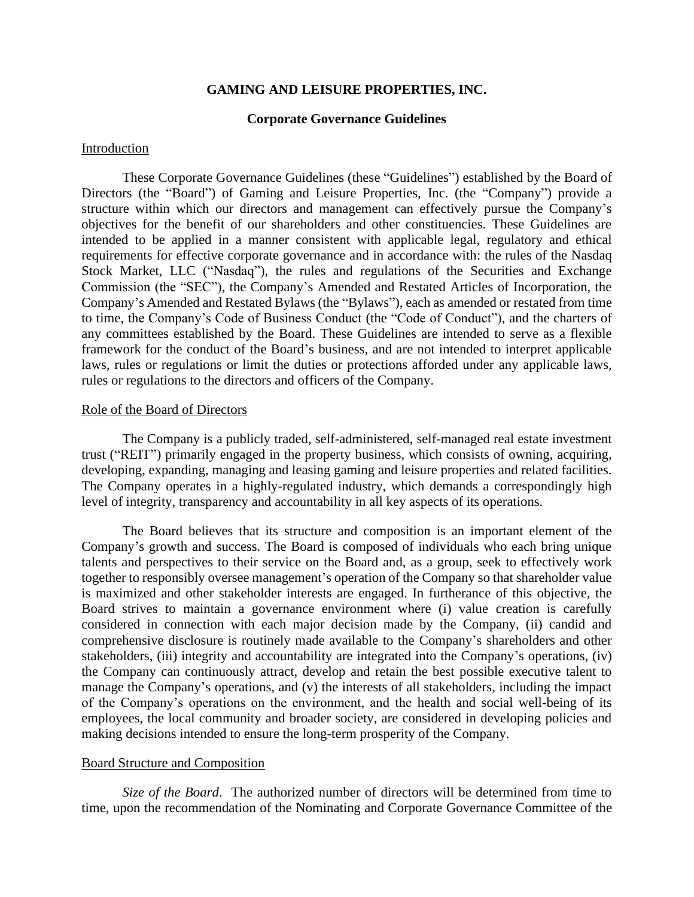# **GAMING AND LEISURE PROPERTIES, INC.**

## **Corporate Governance Guidelines**

#### Introduction

These Corporate Governance Guidelines (these "Guidelines") established by the Board of Directors (the "Board") of Gaming and Leisure Properties, Inc. (the "Company") provide a structure within which our directors and management can effectively pursue the Company's objectives for the benefit of our shareholders and other constituencies. These Guidelines are intended to be applied in a manner consistent with applicable legal, regulatory and ethical requirements for effective corporate governance and in accordance with: the rules of the Nasdaq Stock Market, LLC ("Nasdaq"), the rules and regulations of the Securities and Exchange Commission (the "SEC"), the Company's Amended and Restated Articles of Incorporation, the Company's Amended and Restated Bylaws (the "Bylaws"), each as amended or restated from time to time, the Company's Code of Business Conduct (the "Code of Conduct"), and the charters of any committees established by the Board. These Guidelines are intended to serve as a flexible framework for the conduct of the Board's business, and are not intended to interpret applicable laws, rules or regulations or limit the duties or protections afforded under any applicable laws, rules or regulations to the directors and officers of the Company.

#### Role of the Board of Directors

The Company is a publicly traded, self-administered, self-managed real estate investment trust ("REIT") primarily engaged in the property business, which consists of owning, acquiring, developing, expanding, managing and leasing gaming and leisure properties and related facilities. The Company operates in a highly-regulated industry, which demands a correspondingly high level of integrity, transparency and accountability in all key aspects of its operations.

The Board believes that its structure and composition is an important element of the Company's growth and success. The Board is composed of individuals who each bring unique talents and perspectives to their service on the Board and, as a group, seek to effectively work together to responsibly oversee management's operation of the Company so that shareholder value is maximized and other stakeholder interests are engaged. In furtherance of this objective, the Board strives to maintain a governance environment where (i) value creation is carefully considered in connection with each major decision made by the Company, (ii) candid and comprehensive disclosure is routinely made available to the Company's shareholders and other stakeholders, (iii) integrity and accountability are integrated into the Company's operations, (iv) the Company can continuously attract, develop and retain the best possible executive talent to manage the Company's operations, and (v) the interests of all stakeholders, including the impact of the Company's operations on the environment, and the health and social well-being of its employees, the local community and broader society, are considered in developing policies and making decisions intended to ensure the long-term prosperity of the Company.

# Board Structure and Composition

*Size of the Board*. The authorized number of directors will be determined from time to time, upon the recommendation of the Nominating and Corporate Governance Committee of the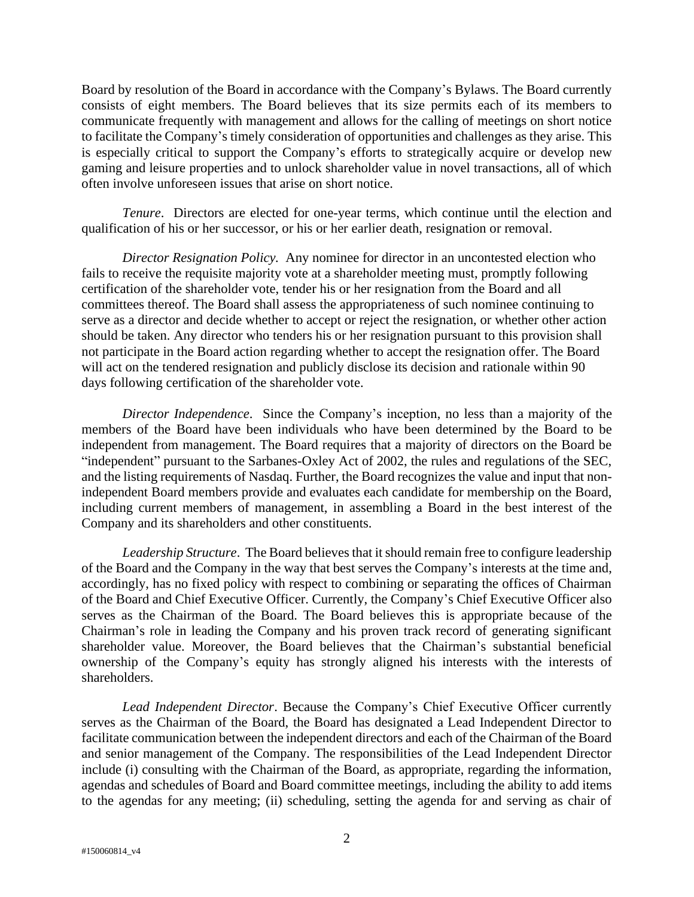Board by resolution of the Board in accordance with the Company's Bylaws. The Board currently consists of eight members. The Board believes that its size permits each of its members to communicate frequently with management and allows for the calling of meetings on short notice to facilitate the Company's timely consideration of opportunities and challenges as they arise. This is especially critical to support the Company's efforts to strategically acquire or develop new gaming and leisure properties and to unlock shareholder value in novel transactions, all of which often involve unforeseen issues that arise on short notice.

*Tenure*. Directors are elected for one-year terms, which continue until the election and qualification of his or her successor, or his or her earlier death, resignation or removal.

*Director Resignation Policy.* Any nominee for director in an uncontested election who fails to receive the requisite majority vote at a shareholder meeting must, promptly following certification of the shareholder vote, tender his or her resignation from the Board and all committees thereof. The Board shall assess the appropriateness of such nominee continuing to serve as a director and decide whether to accept or reject the resignation, or whether other action should be taken. Any director who tenders his or her resignation pursuant to this provision shall not participate in the Board action regarding whether to accept the resignation offer. The Board will act on the tendered resignation and publicly disclose its decision and rationale within 90 days following certification of the shareholder vote.

*Director Independence*. Since the Company's inception, no less than a majority of the members of the Board have been individuals who have been determined by the Board to be independent from management. The Board requires that a majority of directors on the Board be "independent" pursuant to the Sarbanes-Oxley Act of 2002, the rules and regulations of the SEC, and the listing requirements of Nasdaq. Further, the Board recognizes the value and input that nonindependent Board members provide and evaluates each candidate for membership on the Board, including current members of management, in assembling a Board in the best interest of the Company and its shareholders and other constituents.

*Leadership Structure*. The Board believes that it should remain free to configure leadership of the Board and the Company in the way that best serves the Company's interests at the time and, accordingly, has no fixed policy with respect to combining or separating the offices of Chairman of the Board and Chief Executive Officer. Currently, the Company's Chief Executive Officer also serves as the Chairman of the Board. The Board believes this is appropriate because of the Chairman's role in leading the Company and his proven track record of generating significant shareholder value. Moreover, the Board believes that the Chairman's substantial beneficial ownership of the Company's equity has strongly aligned his interests with the interests of shareholders.

*Lead Independent Director*. Because the Company's Chief Executive Officer currently serves as the Chairman of the Board, the Board has designated a Lead Independent Director to facilitate communication between the independent directors and each of the Chairman of the Board and senior management of the Company. The responsibilities of the Lead Independent Director include (i) consulting with the Chairman of the Board, as appropriate, regarding the information, agendas and schedules of Board and Board committee meetings, including the ability to add items to the agendas for any meeting; (ii) scheduling, setting the agenda for and serving as chair of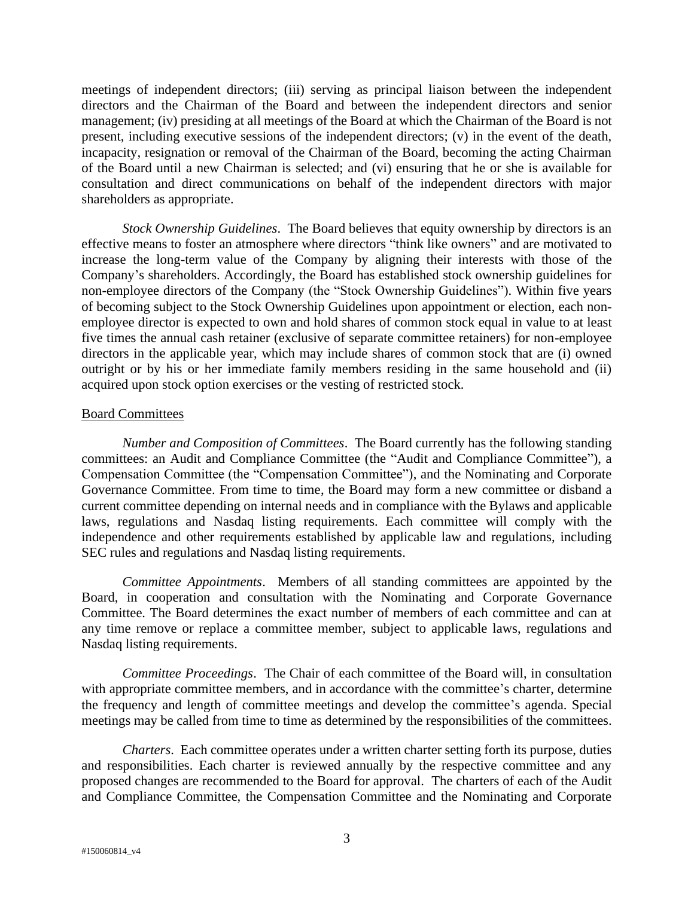meetings of independent directors; (iii) serving as principal liaison between the independent directors and the Chairman of the Board and between the independent directors and senior management; (iv) presiding at all meetings of the Board at which the Chairman of the Board is not present, including executive sessions of the independent directors; (v) in the event of the death, incapacity, resignation or removal of the Chairman of the Board, becoming the acting Chairman of the Board until a new Chairman is selected; and (vi) ensuring that he or she is available for consultation and direct communications on behalf of the independent directors with major shareholders as appropriate.

*Stock Ownership Guidelines*. The Board believes that equity ownership by directors is an effective means to foster an atmosphere where directors "think like owners" and are motivated to increase the long-term value of the Company by aligning their interests with those of the Company's shareholders. Accordingly, the Board has established stock ownership guidelines for non-employee directors of the Company (the "Stock Ownership Guidelines"). Within five years of becoming subject to the Stock Ownership Guidelines upon appointment or election, each nonemployee director is expected to own and hold shares of common stock equal in value to at least five times the annual cash retainer (exclusive of separate committee retainers) for non-employee directors in the applicable year, which may include shares of common stock that are (i) owned outright or by his or her immediate family members residing in the same household and (ii) acquired upon stock option exercises or the vesting of restricted stock.

#### Board Committees

*Number and Composition of Committees*. The Board currently has the following standing committees: an Audit and Compliance Committee (the "Audit and Compliance Committee"), a Compensation Committee (the "Compensation Committee"), and the Nominating and Corporate Governance Committee. From time to time, the Board may form a new committee or disband a current committee depending on internal needs and in compliance with the Bylaws and applicable laws, regulations and Nasdaq listing requirements. Each committee will comply with the independence and other requirements established by applicable law and regulations, including SEC rules and regulations and Nasdaq listing requirements.

*Committee Appointments*. Members of all standing committees are appointed by the Board, in cooperation and consultation with the Nominating and Corporate Governance Committee. The Board determines the exact number of members of each committee and can at any time remove or replace a committee member, subject to applicable laws, regulations and Nasdaq listing requirements.

*Committee Proceedings*. The Chair of each committee of the Board will, in consultation with appropriate committee members, and in accordance with the committee's charter, determine the frequency and length of committee meetings and develop the committee's agenda. Special meetings may be called from time to time as determined by the responsibilities of the committees.

*Charters*. Each committee operates under a written charter setting forth its purpose, duties and responsibilities. Each charter is reviewed annually by the respective committee and any proposed changes are recommended to the Board for approval. The charters of each of the Audit and Compliance Committee, the Compensation Committee and the Nominating and Corporate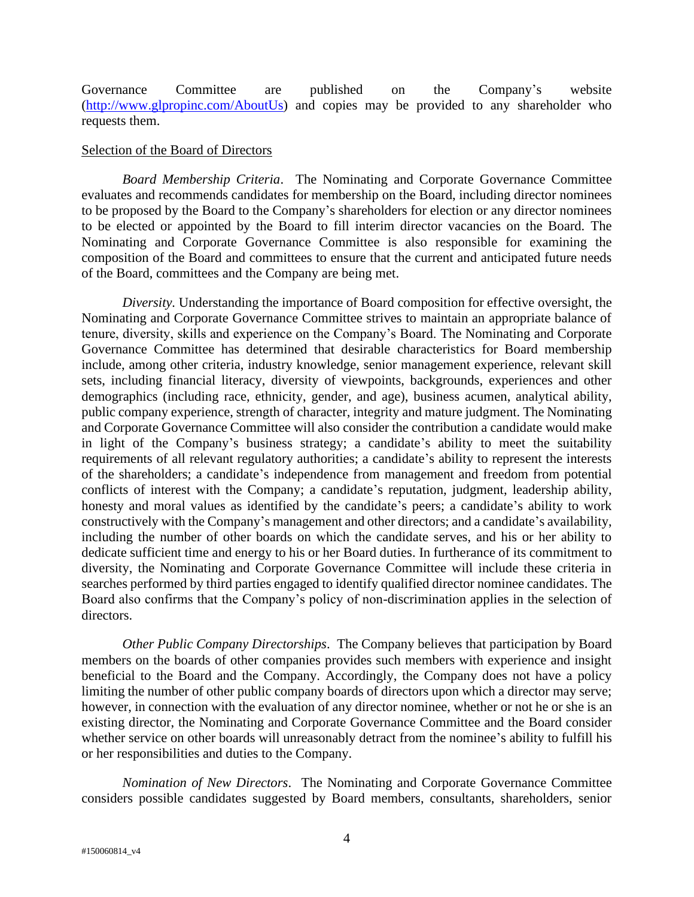Governance Committee are published on the Company's website [\(http://www.glpropinc.com/AboutUs\)](http://www.glpropinc.com/AboutUs) and copies may be provided to any shareholder who requests them.

## Selection of the Board of Directors

*Board Membership Criteria*. The Nominating and Corporate Governance Committee evaluates and recommends candidates for membership on the Board, including director nominees to be proposed by the Board to the Company's shareholders for election or any director nominees to be elected or appointed by the Board to fill interim director vacancies on the Board. The Nominating and Corporate Governance Committee is also responsible for examining the composition of the Board and committees to ensure that the current and anticipated future needs of the Board, committees and the Company are being met.

*Diversity.* Understanding the importance of Board composition for effective oversight, the Nominating and Corporate Governance Committee strives to maintain an appropriate balance of tenure, diversity, skills and experience on the Company's Board. The Nominating and Corporate Governance Committee has determined that desirable characteristics for Board membership include, among other criteria, industry knowledge, senior management experience, relevant skill sets, including financial literacy, diversity of viewpoints, backgrounds, experiences and other demographics (including race, ethnicity, gender, and age), business acumen, analytical ability, public company experience, strength of character, integrity and mature judgment. The Nominating and Corporate Governance Committee will also consider the contribution a candidate would make in light of the Company's business strategy; a candidate's ability to meet the suitability requirements of all relevant regulatory authorities; a candidate's ability to represent the interests of the shareholders; a candidate's independence from management and freedom from potential conflicts of interest with the Company; a candidate's reputation, judgment, leadership ability, honesty and moral values as identified by the candidate's peers; a candidate's ability to work constructively with the Company's management and other directors; and a candidate's availability, including the number of other boards on which the candidate serves, and his or her ability to dedicate sufficient time and energy to his or her Board duties. In furtherance of its commitment to diversity, the Nominating and Corporate Governance Committee will include these criteria in searches performed by third parties engaged to identify qualified director nominee candidates. The Board also confirms that the Company's policy of non-discrimination applies in the selection of directors.

*Other Public Company Directorships*. The Company believes that participation by Board members on the boards of other companies provides such members with experience and insight beneficial to the Board and the Company. Accordingly, the Company does not have a policy limiting the number of other public company boards of directors upon which a director may serve; however, in connection with the evaluation of any director nominee, whether or not he or she is an existing director, the Nominating and Corporate Governance Committee and the Board consider whether service on other boards will unreasonably detract from the nominee's ability to fulfill his or her responsibilities and duties to the Company.

*Nomination of New Directors*. The Nominating and Corporate Governance Committee considers possible candidates suggested by Board members, consultants, shareholders, senior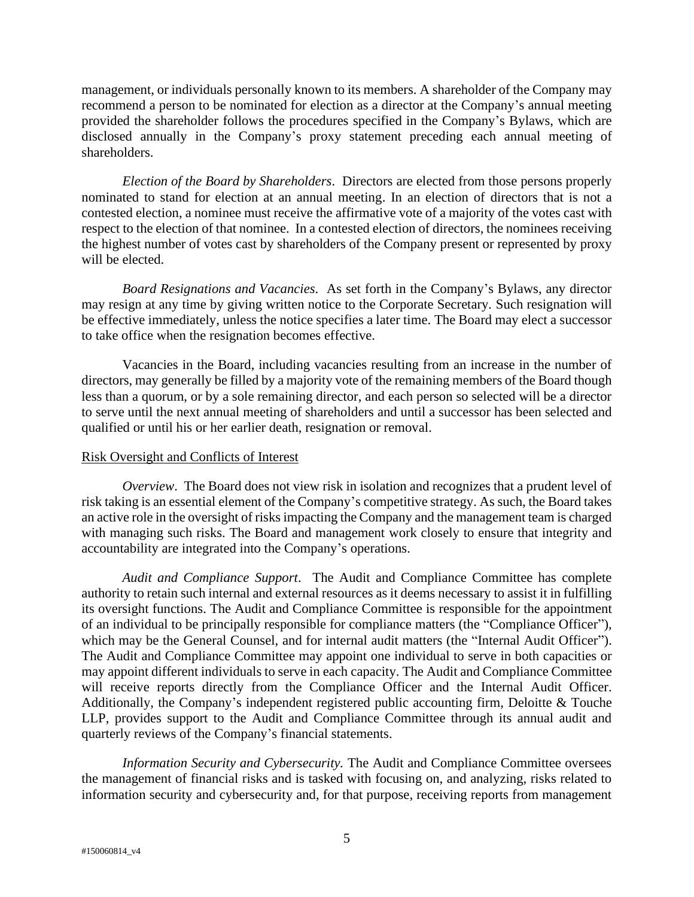management, or individuals personally known to its members. A shareholder of the Company may recommend a person to be nominated for election as a director at the Company's annual meeting provided the shareholder follows the procedures specified in the Company's Bylaws, which are disclosed annually in the Company's proxy statement preceding each annual meeting of shareholders.

*Election of the Board by Shareholders*. Directors are elected from those persons properly nominated to stand for election at an annual meeting. In an election of directors that is not a contested election, a nominee must receive the affirmative vote of a majority of the votes cast with respect to the election of that nominee. In a contested election of directors, the nominees receiving the highest number of votes cast by shareholders of the Company present or represented by proxy will be elected.

*Board Resignations and Vacancies*. As set forth in the Company's Bylaws, any director may resign at any time by giving written notice to the Corporate Secretary. Such resignation will be effective immediately, unless the notice specifies a later time. The Board may elect a successor to take office when the resignation becomes effective.

Vacancies in the Board, including vacancies resulting from an increase in the number of directors, may generally be filled by a majority vote of the remaining members of the Board though less than a quorum, or by a sole remaining director, and each person so selected will be a director to serve until the next annual meeting of shareholders and until a successor has been selected and qualified or until his or her earlier death, resignation or removal.

# Risk Oversight and Conflicts of Interest

*Overview*. The Board does not view risk in isolation and recognizes that a prudent level of risk taking is an essential element of the Company's competitive strategy. As such, the Board takes an active role in the oversight of risks impacting the Company and the management team is charged with managing such risks. The Board and management work closely to ensure that integrity and accountability are integrated into the Company's operations.

*Audit and Compliance Support*. The Audit and Compliance Committee has complete authority to retain such internal and external resources as it deems necessary to assist it in fulfilling its oversight functions. The Audit and Compliance Committee is responsible for the appointment of an individual to be principally responsible for compliance matters (the "Compliance Officer"), which may be the General Counsel, and for internal audit matters (the "Internal Audit Officer"). The Audit and Compliance Committee may appoint one individual to serve in both capacities or may appoint different individuals to serve in each capacity. The Audit and Compliance Committee will receive reports directly from the Compliance Officer and the Internal Audit Officer. Additionally, the Company's independent registered public accounting firm, Deloitte & Touche LLP, provides support to the Audit and Compliance Committee through its annual audit and quarterly reviews of the Company's financial statements.

*Information Security and Cybersecurity.* The Audit and Compliance Committee oversees the management of financial risks and is tasked with focusing on, and analyzing, risks related to information security and cybersecurity and, for that purpose, receiving reports from management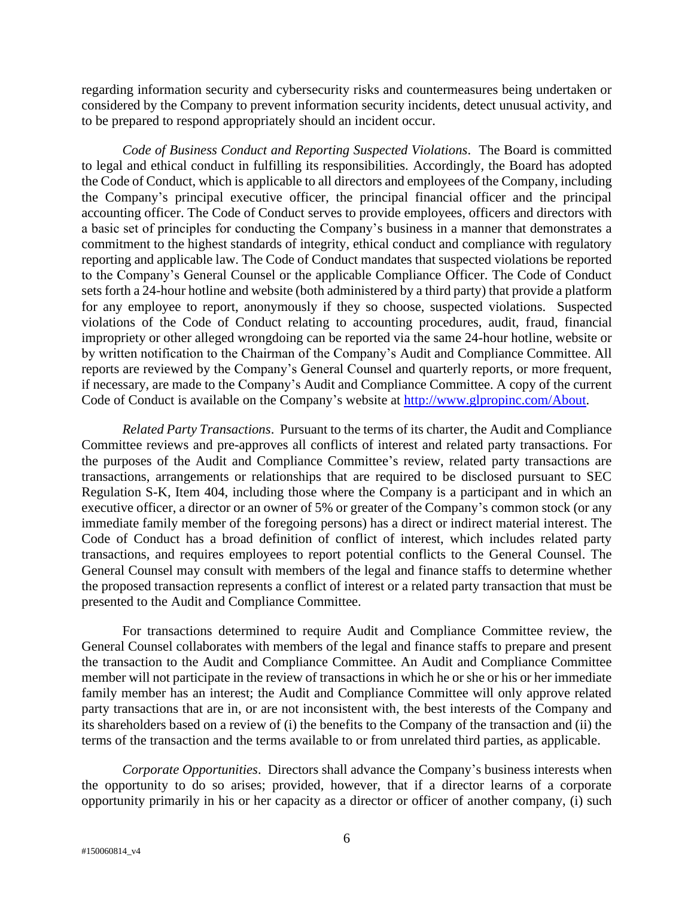regarding information security and cybersecurity risks and countermeasures being undertaken or considered by the Company to prevent information security incidents, detect unusual activity, and to be prepared to respond appropriately should an incident occur.

*Code of Business Conduct and Reporting Suspected Violations*. The Board is committed to legal and ethical conduct in fulfilling its responsibilities. Accordingly, the Board has adopted the Code of Conduct, which is applicable to all directors and employees of the Company, including the Company's principal executive officer, the principal financial officer and the principal accounting officer. The Code of Conduct serves to provide employees, officers and directors with a basic set of principles for conducting the Company's business in a manner that demonstrates a commitment to the highest standards of integrity, ethical conduct and compliance with regulatory reporting and applicable law. The Code of Conduct mandates that suspected violations be reported to the Company's General Counsel or the applicable Compliance Officer. The Code of Conduct sets forth a 24-hour hotline and website (both administered by a third party) that provide a platform for any employee to report, anonymously if they so choose, suspected violations. Suspected violations of the Code of Conduct relating to accounting procedures, audit, fraud, financial impropriety or other alleged wrongdoing can be reported via the same 24-hour hotline, website or by written notification to the Chairman of the Company's Audit and Compliance Committee. All reports are reviewed by the Company's General Counsel and quarterly reports, or more frequent, if necessary, are made to the Company's Audit and Compliance Committee. A copy of the current Code of Conduct is available on the Company's website at [http://www.glpropinc.com/About.](http://www.glpropinc.com/About)

*Related Party Transactions*. Pursuant to the terms of its charter, the Audit and Compliance Committee reviews and pre-approves all conflicts of interest and related party transactions. For the purposes of the Audit and Compliance Committee's review, related party transactions are transactions, arrangements or relationships that are required to be disclosed pursuant to SEC Regulation S-K, Item 404, including those where the Company is a participant and in which an executive officer, a director or an owner of 5% or greater of the Company's common stock (or any immediate family member of the foregoing persons) has a direct or indirect material interest. The Code of Conduct has a broad definition of conflict of interest, which includes related party transactions, and requires employees to report potential conflicts to the General Counsel. The General Counsel may consult with members of the legal and finance staffs to determine whether the proposed transaction represents a conflict of interest or a related party transaction that must be presented to the Audit and Compliance Committee.

For transactions determined to require Audit and Compliance Committee review, the General Counsel collaborates with members of the legal and finance staffs to prepare and present the transaction to the Audit and Compliance Committee. An Audit and Compliance Committee member will not participate in the review of transactions in which he or she or his or her immediate family member has an interest; the Audit and Compliance Committee will only approve related party transactions that are in, or are not inconsistent with, the best interests of the Company and its shareholders based on a review of (i) the benefits to the Company of the transaction and (ii) the terms of the transaction and the terms available to or from unrelated third parties, as applicable.

*Corporate Opportunities*. Directors shall advance the Company's business interests when the opportunity to do so arises; provided, however, that if a director learns of a corporate opportunity primarily in his or her capacity as a director or officer of another company, (i) such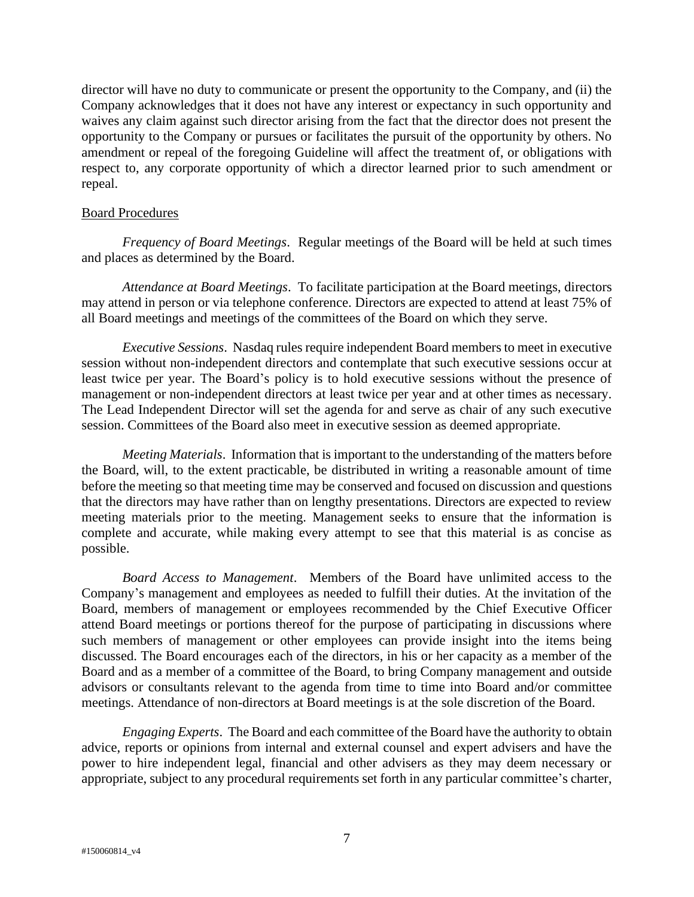director will have no duty to communicate or present the opportunity to the Company, and (ii) the Company acknowledges that it does not have any interest or expectancy in such opportunity and waives any claim against such director arising from the fact that the director does not present the opportunity to the Company or pursues or facilitates the pursuit of the opportunity by others. No amendment or repeal of the foregoing Guideline will affect the treatment of, or obligations with respect to, any corporate opportunity of which a director learned prior to such amendment or repeal.

# Board Procedures

*Frequency of Board Meetings*. Regular meetings of the Board will be held at such times and places as determined by the Board.

*Attendance at Board Meetings*. To facilitate participation at the Board meetings, directors may attend in person or via telephone conference. Directors are expected to attend at least 75% of all Board meetings and meetings of the committees of the Board on which they serve.

*Executive Sessions*. Nasdaq rules require independent Board members to meet in executive session without non-independent directors and contemplate that such executive sessions occur at least twice per year. The Board's policy is to hold executive sessions without the presence of management or non-independent directors at least twice per year and at other times as necessary. The Lead Independent Director will set the agenda for and serve as chair of any such executive session. Committees of the Board also meet in executive session as deemed appropriate.

*Meeting Materials*. Information that is important to the understanding of the matters before the Board, will, to the extent practicable, be distributed in writing a reasonable amount of time before the meeting so that meeting time may be conserved and focused on discussion and questions that the directors may have rather than on lengthy presentations. Directors are expected to review meeting materials prior to the meeting. Management seeks to ensure that the information is complete and accurate, while making every attempt to see that this material is as concise as possible.

*Board Access to Management*. Members of the Board have unlimited access to the Company's management and employees as needed to fulfill their duties. At the invitation of the Board, members of management or employees recommended by the Chief Executive Officer attend Board meetings or portions thereof for the purpose of participating in discussions where such members of management or other employees can provide insight into the items being discussed. The Board encourages each of the directors, in his or her capacity as a member of the Board and as a member of a committee of the Board, to bring Company management and outside advisors or consultants relevant to the agenda from time to time into Board and/or committee meetings. Attendance of non-directors at Board meetings is at the sole discretion of the Board.

*Engaging Experts*. The Board and each committee of the Board have the authority to obtain advice, reports or opinions from internal and external counsel and expert advisers and have the power to hire independent legal, financial and other advisers as they may deem necessary or appropriate, subject to any procedural requirements set forth in any particular committee's charter,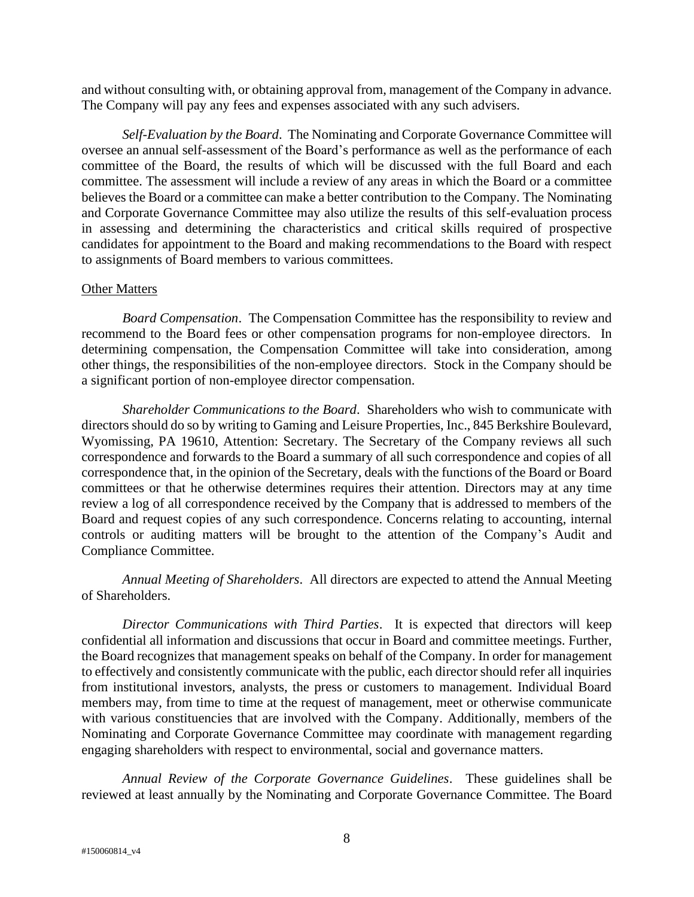and without consulting with, or obtaining approval from, management of the Company in advance. The Company will pay any fees and expenses associated with any such advisers.

*Self-Evaluation by the Board*. The Nominating and Corporate Governance Committee will oversee an annual self-assessment of the Board's performance as well as the performance of each committee of the Board, the results of which will be discussed with the full Board and each committee. The assessment will include a review of any areas in which the Board or a committee believes the Board or a committee can make a better contribution to the Company. The Nominating and Corporate Governance Committee may also utilize the results of this self-evaluation process in assessing and determining the characteristics and critical skills required of prospective candidates for appointment to the Board and making recommendations to the Board with respect to assignments of Board members to various committees.

## Other Matters

*Board Compensation*. The Compensation Committee has the responsibility to review and recommend to the Board fees or other compensation programs for non-employee directors. In determining compensation, the Compensation Committee will take into consideration, among other things, the responsibilities of the non-employee directors. Stock in the Company should be a significant portion of non-employee director compensation.

*Shareholder Communications to the Board*. Shareholders who wish to communicate with directors should do so by writing to Gaming and Leisure Properties, Inc., 845 Berkshire Boulevard, Wyomissing, PA 19610, Attention: Secretary. The Secretary of the Company reviews all such correspondence and forwards to the Board a summary of all such correspondence and copies of all correspondence that, in the opinion of the Secretary, deals with the functions of the Board or Board committees or that he otherwise determines requires their attention. Directors may at any time review a log of all correspondence received by the Company that is addressed to members of the Board and request copies of any such correspondence. Concerns relating to accounting, internal controls or auditing matters will be brought to the attention of the Company's Audit and Compliance Committee.

*Annual Meeting of Shareholders*. All directors are expected to attend the Annual Meeting of Shareholders.

*Director Communications with Third Parties*. It is expected that directors will keep confidential all information and discussions that occur in Board and committee meetings. Further, the Board recognizes that management speaks on behalf of the Company. In order for management to effectively and consistently communicate with the public, each director should refer all inquiries from institutional investors, analysts, the press or customers to management. Individual Board members may, from time to time at the request of management, meet or otherwise communicate with various constituencies that are involved with the Company. Additionally, members of the Nominating and Corporate Governance Committee may coordinate with management regarding engaging shareholders with respect to environmental, social and governance matters.

*Annual Review of the Corporate Governance Guidelines*. These guidelines shall be reviewed at least annually by the Nominating and Corporate Governance Committee. The Board